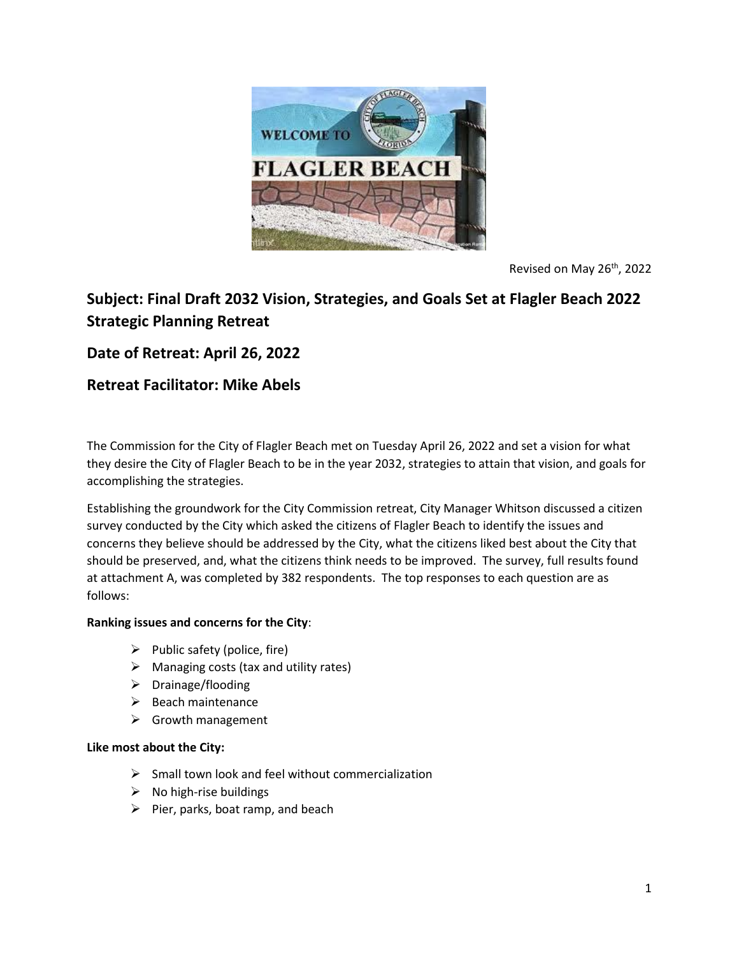

Revised on May 26<sup>th</sup>, 2022

# **Subject: Final Draft 2032 Vision, Strategies, and Goals Set at Flagler Beach 2022 Strategic Planning Retreat**

# **Date of Retreat: April 26, 2022**

# **Retreat Facilitator: Mike Abels**

The Commission for the City of Flagler Beach met on Tuesday April 26, 2022 and set a vision for what they desire the City of Flagler Beach to be in the year 2032, strategies to attain that vision, and goals for accomplishing the strategies.

Establishing the groundwork for the City Commission retreat, City Manager Whitson discussed a citizen survey conducted by the City which asked the citizens of Flagler Beach to identify the issues and concerns they believe should be addressed by the City, what the citizens liked best about the City that should be preserved, and, what the citizens think needs to be improved. The survey, full results found at attachment A, was completed by 382 respondents. The top responses to each question are as follows:

### **Ranking issues and concerns for the City**:

- $\triangleright$  Public safety (police, fire)
- $\triangleright$  Managing costs (tax and utility rates)
- $\triangleright$  Drainage/flooding
- $\triangleright$  Beach maintenance
- $\triangleright$  Growth management

#### **Like most about the City:**

- $\triangleright$  Small town look and feel without commercialization
- $\triangleright$  No high-rise buildings
- $\triangleright$  Pier, parks, boat ramp, and beach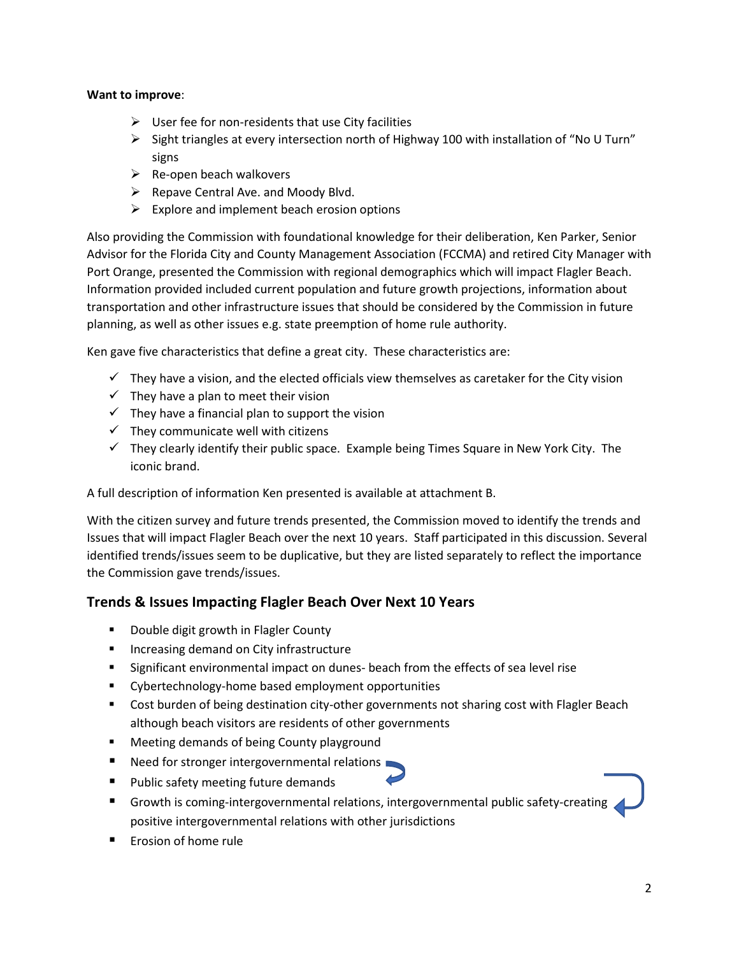#### **Want to improve**:

- $\triangleright$  User fee for non-residents that use City facilities
- $\triangleright$  Sight triangles at every intersection north of Highway 100 with installation of "No U Turn" signs
- $\triangleright$  Re-open beach walkovers
- $\triangleright$  Repave Central Ave. and Moody Blvd.
- $\triangleright$  Explore and implement beach erosion options

Also providing the Commission with foundational knowledge for their deliberation, Ken Parker, Senior Advisor for the Florida City and County Management Association (FCCMA) and retired City Manager with Port Orange, presented the Commission with regional demographics which will impact Flagler Beach. Information provided included current population and future growth projections, information about transportation and other infrastructure issues that should be considered by the Commission in future planning, as well as other issues e.g. state preemption of home rule authority.

Ken gave five characteristics that define a great city. These characteristics are:

- $\checkmark$  They have a vision, and the elected officials view themselves as caretaker for the City vision
- $\checkmark$  They have a plan to meet their vision
- $\checkmark$  They have a financial plan to support the vision
- $\checkmark$  They communicate well with citizens
- $\checkmark$  They clearly identify their public space. Example being Times Square in New York City. The iconic brand.

A full description of information Ken presented is available at attachment B.

With the citizen survey and future trends presented, the Commission moved to identify the trends and Issues that will impact Flagler Beach over the next 10 years. Staff participated in this discussion. Several identified trends/issues seem to be duplicative, but they are listed separately to reflect the importance the Commission gave trends/issues.

## **Trends & Issues Impacting Flagler Beach Over Next 10 Years**

- **Double digit growth in Flagler County**
- **Increasing demand on City infrastructure**
- **Significant environmental impact on dunes- beach from the effects of sea level rise**
- **EXECUTE:** Cybertechnology-home based employment opportunities
- Cost burden of being destination city-other governments not sharing cost with Flagler Beach although beach visitors are residents of other governments
- **EXEDENT Meeting demands of being County playground**
- Need for stronger intergovernmental relations
- Public safety meeting future demands
- Growth is coming-intergovernmental relations, intergovernmental public safety-creating positive intergovernmental relations with other jurisdictions
- **Example 1** Erosion of home rule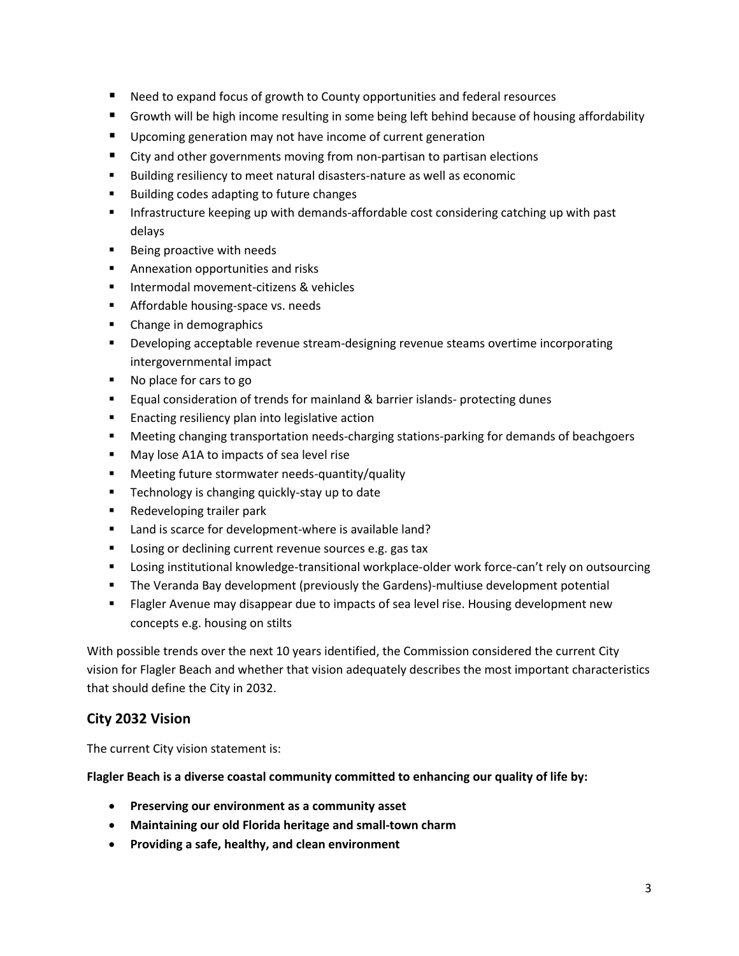- Need to expand focus of growth to County opportunities and federal resources
- Growth will be high income resulting in some being left behind because of housing affordability
- **Upcoming generation may not have income of current generation**
- City and other governments moving from non-partisan to partisan elections
- Building resiliency to meet natural disasters-nature as well as economic
- **Building codes adapting to future changes**
- **Infrastructure keeping up with demands-affordable cost considering catching up with past** delays
- **Being proactive with needs**
- **Annexation opportunities and risks**
- **Intermodal movement-citizens & vehicles**
- **Affordable housing-space vs. needs**
- Change in demographics
- **Developing acceptable revenue stream-designing revenue steams overtime incorporating** intergovernmental impact
- No place for cars to go
- **Equal consideration of trends for mainland & barrier islands- protecting dunes**
- **Enacting resiliency plan into legislative action**
- Meeting changing transportation needs-charging stations-parking for demands of beachgoers
- **May lose A1A to impacts of sea level rise**
- **Meeting future stormwater needs-quantity/quality**
- **Technology is changing quickly-stay up to date**
- Redeveloping trailer park
- Land is scarce for development-where is available land?
- **Losing or declining current revenue sources e.g. gas tax**
- **EXECT** Losing institutional knowledge-transitional workplace-older work force-can't rely on outsourcing
- The Veranda Bay development (previously the Gardens)-multiuse development potential
- Flagler Avenue may disappear due to impacts of sea level rise. Housing development new concepts e.g. housing on stilts

With possible trends over the next 10 years identified, the Commission considered the current City vision for Flagler Beach and whether that vision adequately describes the most important characteristics that should define the City in 2032.

# **City 2032 Vision**

The current City vision statement is:

**Flagler Beach is a diverse coastal community committed to enhancing our quality of life by:**

- **Preserving our environment as a community asset**
- **Maintaining our old Florida heritage and small-town charm**
- **Providing a safe, healthy, and clean environment**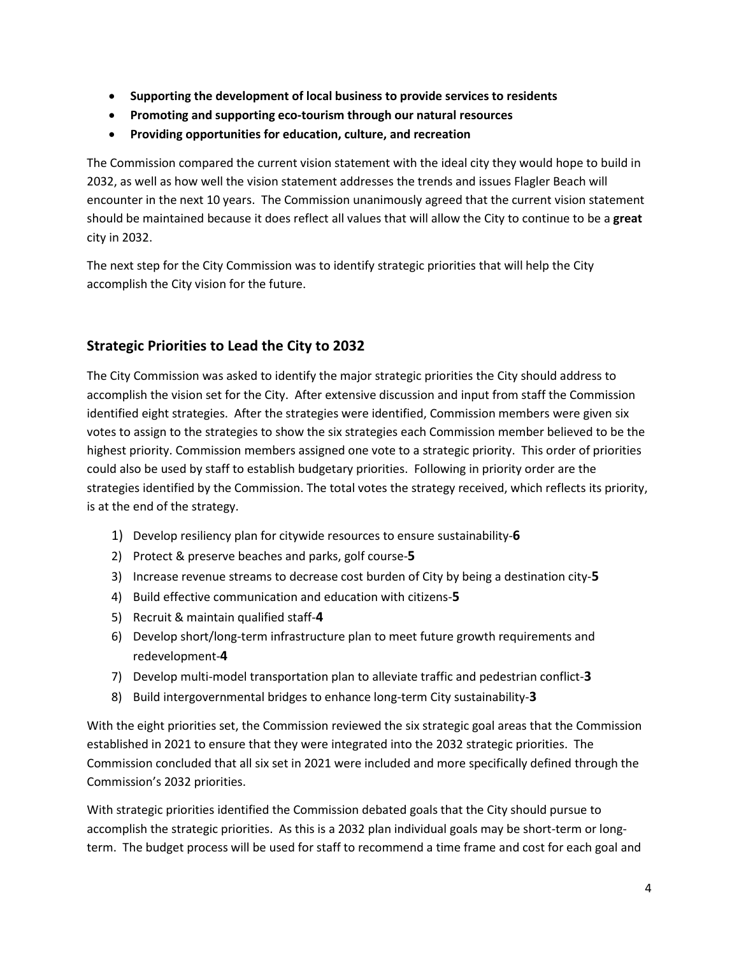- **Supporting the development of local business to provide services to residents**
- **Promoting and supporting eco-tourism through our natural resources**
- **Providing opportunities for education, culture, and recreation**

The Commission compared the current vision statement with the ideal city they would hope to build in 2032, as well as how well the vision statement addresses the trends and issues Flagler Beach will encounter in the next 10 years. The Commission unanimously agreed that the current vision statement should be maintained because it does reflect all values that will allow the City to continue to be a **great** city in 2032.

The next step for the City Commission was to identify strategic priorities that will help the City accomplish the City vision for the future.

## **Strategic Priorities to Lead the City to 2032**

The City Commission was asked to identify the major strategic priorities the City should address to accomplish the vision set for the City. After extensive discussion and input from staff the Commission identified eight strategies. After the strategies were identified, Commission members were given six votes to assign to the strategies to show the six strategies each Commission member believed to be the highest priority. Commission members assigned one vote to a strategic priority. This order of priorities could also be used by staff to establish budgetary priorities. Following in priority order are the strategies identified by the Commission. The total votes the strategy received, which reflects its priority, is at the end of the strategy.

- 1) Develop resiliency plan for citywide resources to ensure sustainability-**6**
- 2) Protect & preserve beaches and parks, golf course-**5**
- 3) Increase revenue streams to decrease cost burden of City by being a destination city-**5**
- 4) Build effective communication and education with citizens-**5**
- 5) Recruit & maintain qualified staff-**4**
- 6) Develop short/long-term infrastructure plan to meet future growth requirements and redevelopment-**4**
- 7) Develop multi-model transportation plan to alleviate traffic and pedestrian conflict-**3**
- 8) Build intergovernmental bridges to enhance long-term City sustainability-**3**

With the eight priorities set, the Commission reviewed the six strategic goal areas that the Commission established in 2021 to ensure that they were integrated into the 2032 strategic priorities. The Commission concluded that all six set in 2021 were included and more specifically defined through the Commission's 2032 priorities.

With strategic priorities identified the Commission debated goals that the City should pursue to accomplish the strategic priorities. As this is a 2032 plan individual goals may be short-term or longterm. The budget process will be used for staff to recommend a time frame and cost for each goal and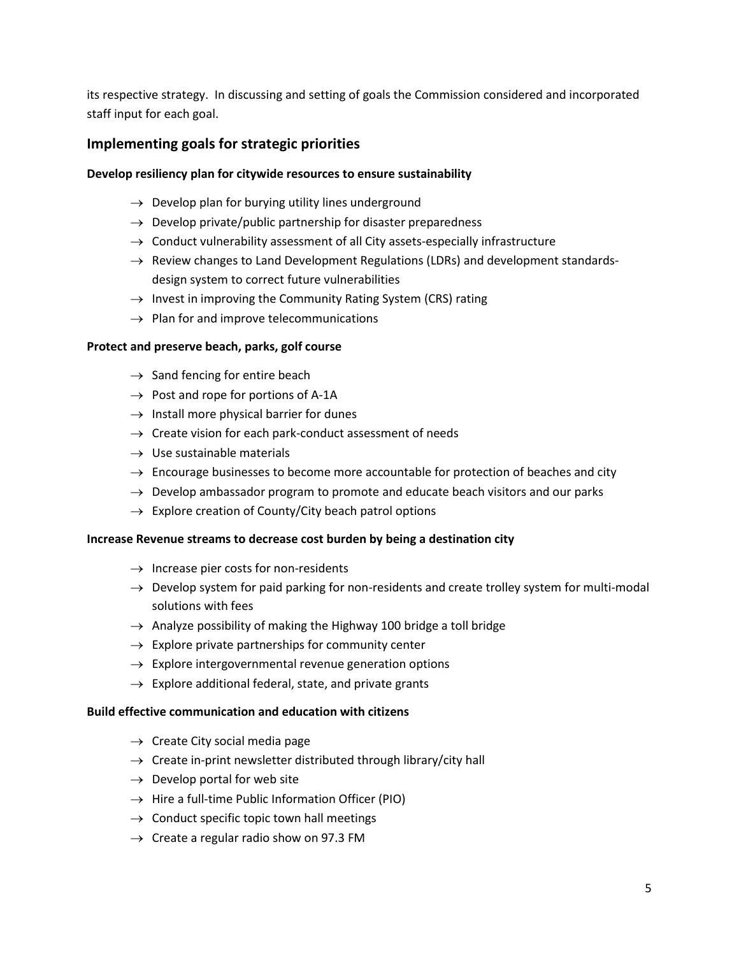its respective strategy. In discussing and setting of goals the Commission considered and incorporated staff input for each goal.

### **Implementing goals for strategic priorities**

#### **Develop resiliency plan for citywide resources to ensure sustainability**

- $\rightarrow$  Develop plan for burying utility lines underground
- $\rightarrow$  Develop private/public partnership for disaster preparedness
- $\rightarrow$  Conduct vulnerability assessment of all City assets-especially infrastructure
- $\rightarrow$  Review changes to Land Development Regulations (LDRs) and development standardsdesign system to correct future vulnerabilities
- $\rightarrow$  Invest in improving the Community Rating System (CRS) rating
- $\rightarrow$  Plan for and improve telecommunications

#### **Protect and preserve beach, parks, golf course**

- $\rightarrow$  Sand fencing for entire beach
- $\rightarrow$  Post and rope for portions of A-1A
- $\rightarrow$  Install more physical barrier for dunes
- $\rightarrow$  Create vision for each park-conduct assessment of needs
- $\rightarrow$  Use sustainable materials
- $\rightarrow$  Encourage businesses to become more accountable for protection of beaches and city
- $\rightarrow$  Develop ambassador program to promote and educate beach visitors and our parks
- $\rightarrow$  Explore creation of County/City beach patrol options

#### **Increase Revenue streams to decrease cost burden by being a destination city**

- $\rightarrow$  Increase pier costs for non-residents
- $\rightarrow$  Develop system for paid parking for non-residents and create trolley system for multi-modal solutions with fees
- $\rightarrow$  Analyze possibility of making the Highway 100 bridge a toll bridge
- $\rightarrow$  Explore private partnerships for community center
- $\rightarrow$  Explore intergovernmental revenue generation options
- $\rightarrow$  Explore additional federal, state, and private grants

#### **Build effective communication and education with citizens**

- $\rightarrow$  Create City social media page
- $\rightarrow$  Create in-print newsletter distributed through library/city hall
- $\rightarrow$  Develop portal for web site
- $\rightarrow$  Hire a full-time Public Information Officer (PIO)
- $\rightarrow$  Conduct specific topic town hall meetings
- $\rightarrow$  Create a regular radio show on 97.3 FM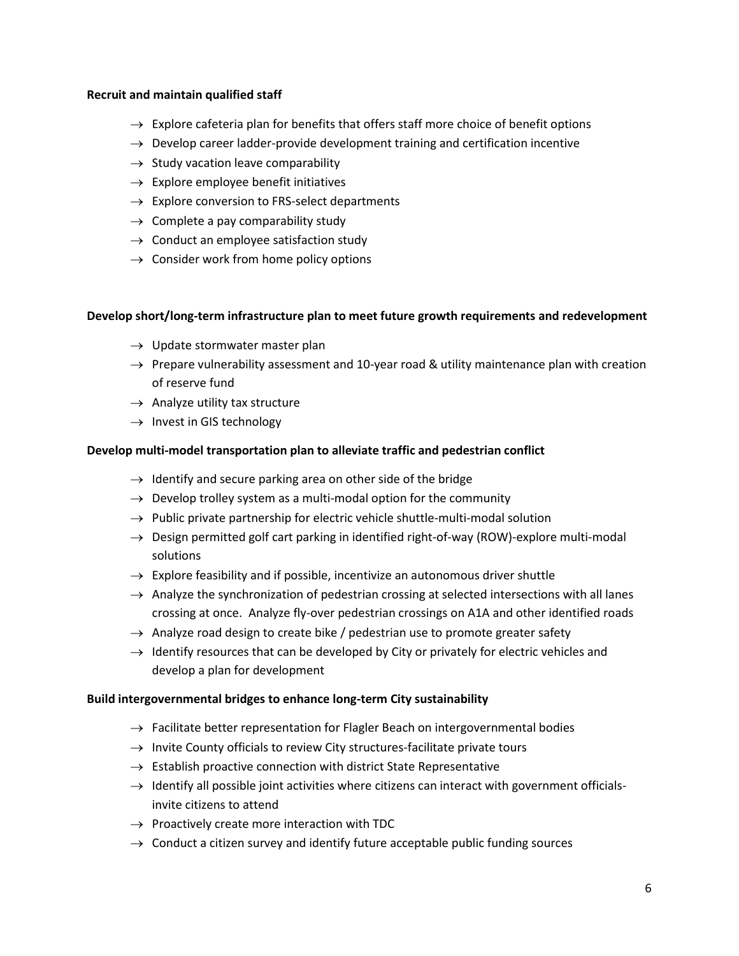#### **Recruit and maintain qualified staff**

- $\rightarrow$  Explore cafeteria plan for benefits that offers staff more choice of benefit options
- $\rightarrow$  Develop career ladder-provide development training and certification incentive
- $\rightarrow$  Study vacation leave comparability
- $\rightarrow$  Explore employee benefit initiatives
- $\rightarrow$  Explore conversion to FRS-select departments
- $\rightarrow$  Complete a pay comparability study
- $\rightarrow$  Conduct an employee satisfaction study
- $\rightarrow$  Consider work from home policy options

#### **Develop short/long-term infrastructure plan to meet future growth requirements and redevelopment**

- $\rightarrow$  Update stormwater master plan
- $\rightarrow$  Prepare vulnerability assessment and 10-year road & utility maintenance plan with creation of reserve fund
- $\rightarrow$  Analyze utility tax structure
- $\rightarrow$  Invest in GIS technology

#### **Develop multi-model transportation plan to alleviate traffic and pedestrian conflict**

- $\rightarrow$  Identify and secure parking area on other side of the bridge
- $\rightarrow$  Develop trolley system as a multi-modal option for the community
- $\rightarrow$  Public private partnership for electric vehicle shuttle-multi-modal solution
- $\rightarrow$  Design permitted golf cart parking in identified right-of-way (ROW)-explore multi-modal solutions
- $\rightarrow$  Explore feasibility and if possible, incentivize an autonomous driver shuttle
- $\rightarrow$  Analyze the synchronization of pedestrian crossing at selected intersections with all lanes crossing at once. Analyze fly-over pedestrian crossings on A1A and other identified roads
- $\rightarrow$  Analyze road design to create bike / pedestrian use to promote greater safety
- $\rightarrow$  Identify resources that can be developed by City or privately for electric vehicles and develop a plan for development

#### **Build intergovernmental bridges to enhance long-term City sustainability**

- $\rightarrow$  Facilitate better representation for Flagler Beach on intergovernmental bodies
- $\rightarrow$  Invite County officials to review City structures-facilitate private tours
- $\rightarrow$  Establish proactive connection with district State Representative
- $\rightarrow$  Identify all possible joint activities where citizens can interact with government officialsinvite citizens to attend
- $\rightarrow$  Proactively create more interaction with TDC
- $\rightarrow$  Conduct a citizen survey and identify future acceptable public funding sources